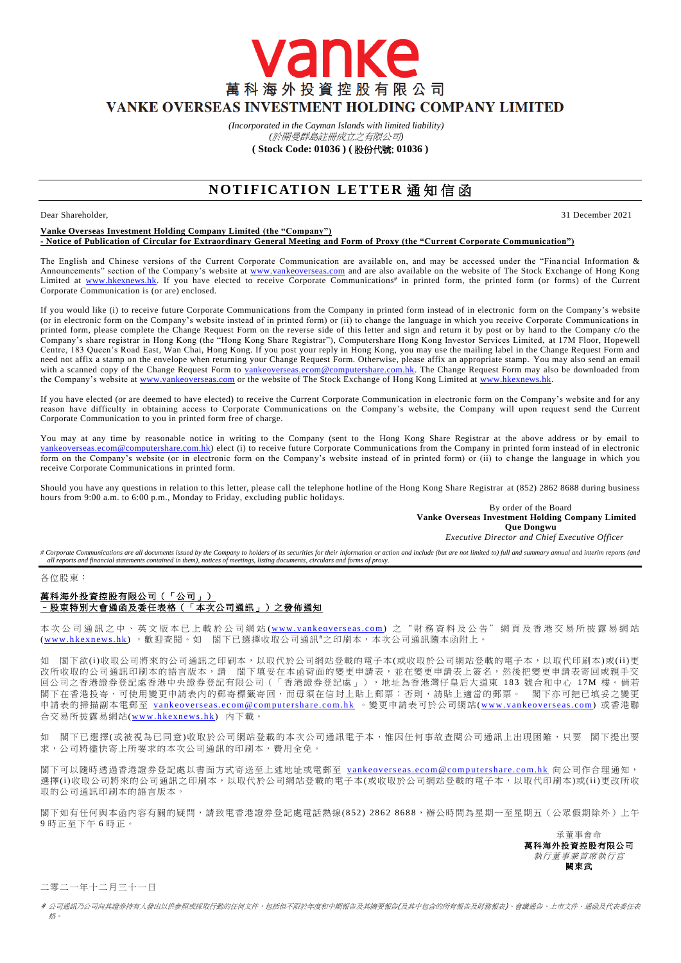萬科海外投資控股有限公司 VANKE OVERSEAS INVESTMENT HOLDING COMPANY LIMITED

*(Incorporated in the Cayman Islands with limited liability)* 

vanke

*(*於開曼群島註冊成立之有限公司*)* **( Stock Code: 01036 ) (** 股份代號: **01036 )**

# **NOTIFICATION LETTER 通知信函**

Dear Shareholder, 31 December 2021

### **Vanke Overseas Investment Holding Company Limited (the "Company") - Notice of Publication of Circular for Extraordinary General Meeting and Form of Proxy (the "Current Corporate Communication")**

The English and Chinese versions of the Current Corporate Communication are available on, and may be accessed under the "Fina ncial Information & Announcements" section of the Company's website at [www.vankeoverseas.com](http://www.vankeoverseas.com/) and are also available on the website of The Stock Exchange of Hong Kong Limited at [www.hkexnews.hk.](http://www.hkexnews.hk/) If you have elected to receive Corporate Communications<sup>#</sup> in printed form, the printed form (or forms) of the Current Corporate Communication is (or are) enclosed.

If you would like (i) to receive future Corporate Communications from the Company in printed form instead of in electronic form on the Company's website (or in electronic form on the Company's website instead of in printed form) or (ii) to change the language in which you receive Corporate Communications in printed form, please complete the Change Request Form on the reverse side of this letter and sign and return it by post or by hand to the Company c/o the Company's share registrar in Hong Kong (the "Hong Kong Share Registrar"), Computershare Hong Kong Investor Services Limited, at 17M Floor, Hopewell Centre, 183 Queen's Road East, Wan Chai, Hong Kong. If you post your reply in Hong Kong, you may use the mailing label in the Change Request Form and need not affix a stamp on the envelope when returning your Change Request Form. Otherwise, please affix an appropriate stamp. You may also send an email with a scanned copy of the Change Request Form to [vankeoverseas.ecom@computershare.com.hk.](mailto:vankeoverseas.ecom@computershare.com.hk) The Change Request Form may also be downloaded from the Company's website at [www.vankeoverseas.com](http://www.vankeoverseas.com/) or the website of The Stock Exchange of Hong Kong Limited at [www.hkexnews.hk.](http://www.hkexnews.hk/)

If you have elected (or are deemed to have elected) to receive the Current Corporate Communication in electronic form on the Company's website and for any reason have difficulty in obtaining access to Corporate Communications on the Company's website, the Company will upon request send the Current Corporate Communication to you in printed form free of charge.

You may at any time by reasonable notice in writing to the Company (sent to the Hong Kong Share Registrar at the above address or by email to om@computershare.com.hk) elect (i) to receive future Corporate Communications from the Company in printed form instead of in electronic form on the Company's website (or in electronic form on the Company's website instead of in printed form) or (ii) to c hange the language in which you receive Corporate Communications in printed form.

Should you have any questions in relation to this letter, please call the telephone hotline of the Hong Kong Share Registrar at (852) 2862 8688 during business hours from 9:00 a.m. to 6:00 p.m., Monday to Friday, excluding public holidays.

By order of the Board **Vanke Overseas Investment Holding Company Limited Que Dongwu**

*Executive Director and Chief Executive Officer*

# Corporate Communications are all documents issued by the Company to holders of its securities for their information or action and include (but are not limited to) full and summary annual and interim reports (and *all reports and financial statements contained in them), notices of meetings, listing documents, circulars and forms of proxy.*

各位股東:

## 萬科海外投資控股有限公司(「公司」) –股東特別大會通函及委任表格(「本次公司通訊」)之發佈通知

本次公司通訊之中、英文版本已上載於公司網站 (www.vankeoverseas.com) 之 "財務資料及公告"網頁及香港交易所披露易網站 (www.hkexnews.hk), 歡迎查閱。如 閣下已選擇收取公司通訊#之印刷本,本次公司通訊隨本函附上。

如 閣下欲(i)收取公司將來的公司通訊之印刷本,以取代於公司網站登載的電子本(或收取於公司網站登載的電子本,以取代印刷本)或(ii)更 改所收取的公司通訊印刷本的語言版本,請 閣下填妥在本函背面的變更申請表,並在變更申請表上簽名,然後把變更申請表寄回或親手交 回公司之香港證券登記處香港中央證券登記有限公司(「香港證券登記處」),地址為香港灣仔皇后大道東 183 號合和中心 1 7M 樓。倘若 閣下在香港投寄,可使用變更申請表內的郵寄標籤寄回,而毋須在信封上貼上郵票;否則,請貼上適當的郵票。 閣下亦可把已填妥之變更 申請表的掃描副本電郵至 vankeoverseas.ecom@computershare.com.hk 。變更申請表可於公司網站(www.vankeoverseas.com) 或香港聯 合交易所披露易網站(www.hkexnews.hk) 內下載。

如 閣下已選擇(或被視為已同意)收取於公司網站登載的本次公司通訊電子本,惟因任何事故查閱公司通訊上出現困難,只要 閣下提出要 求,公司將儘快寄上所要求的本次公司通訊的印刷本,費用全免。

閣下可以隨時透過香港證券登記處以書面方式寄送至上述地址或電郵至 vankeoverseas.ecom@computershare.com.hk 向公司作合理通知, 選擇(i)收取公司將來的公司通訊之印刷本,以取代於公司網站登載的電子本(或收取於公司網站登載的電子本,以取代印刷本)或(ii)更改所收 取的公司通訊印刷本的語言版本。

閣下如有任何與本函內容有關的疑問,請致電香港證券登記處電話熱線( 852) 2862 8688,辦公時間為星期一至星期五(公眾假期除外)上午 9 時正至下午 6 時正。

> 承董事會命 萬科海外投資控股有限公司 執行董事兼首席執行官 闕東武

二零二一年十二月三十一日

# 公司通訊乃公司向其證券持有人發出以供參照或採取行動的任何文件,包括但不限於年度和中期報告及其摘要報告(及其中包含的所有報告及財務報表)、會議通告、上市文件、通函及代表委任表 格。